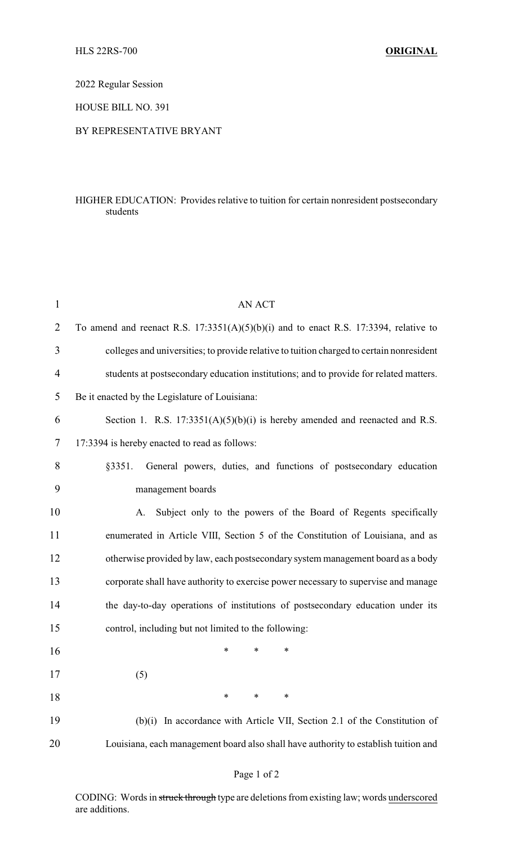2022 Regular Session

HOUSE BILL NO. 391

## BY REPRESENTATIVE BRYANT

## HIGHER EDUCATION: Provides relative to tuition for certain nonresident postsecondary students

| $\mathbf{1}$ | <b>AN ACT</b>                                                                            |
|--------------|------------------------------------------------------------------------------------------|
| 2            | To amend and reenact R.S. $17:3351(A)(5)(b)(i)$ and to enact R.S. 17:3394, relative to   |
| 3            | colleges and universities; to provide relative to tuition charged to certain nonresident |
| 4            | students at postsecondary education institutions; and to provide for related matters.    |
| 5            | Be it enacted by the Legislature of Louisiana:                                           |
| 6            | Section 1. R.S. $17:3351(A)(5)(b)(i)$ is hereby amended and reenacted and R.S.           |
| 7            | 17:3394 is hereby enacted to read as follows:                                            |
| 8            | General powers, duties, and functions of postsecondary education<br>§3351.               |
| 9            | management boards                                                                        |
| 10           | Subject only to the powers of the Board of Regents specifically<br>A.                    |
| 11           | enumerated in Article VIII, Section 5 of the Constitution of Louisiana, and as           |
| 12           | otherwise provided by law, each postsecondary system management board as a body          |
| 13           | corporate shall have authority to exercise power necessary to supervise and manage       |
| 14           | the day-to-day operations of institutions of postsecondary education under its           |
| 15           | control, including but not limited to the following:                                     |
| 16           | $\ast$<br>∗<br>∗                                                                         |
| 17           | (5)                                                                                      |
| 18           | *<br>∗<br>∗                                                                              |
| 19           | (b)(i) In accordance with Article VII, Section 2.1 of the Constitution of                |
| 20           | Louisiana, each management board also shall have authority to establish tuition and      |

## Page 1 of 2

CODING: Words in struck through type are deletions from existing law; words underscored are additions.